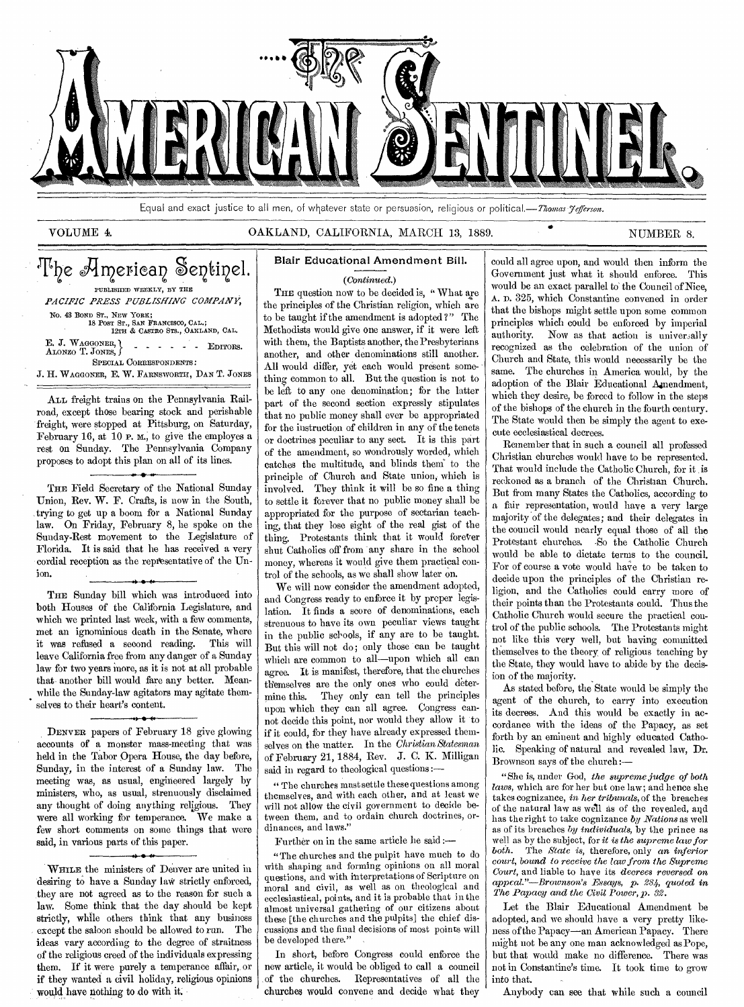

Equal and exact justice to all men, of whatever state or persuasion, religious or political.—Thomas *Jefferson*.

# VOLUME 4. CAKLAND, CALIFORNIA, MARCH 13, 1889. NUMBER 8.

# The American Sentinel.

E. J. WAGGONER, ALONZO T. JONES, SPECIAL CORRESPONDENTS: PUBLISHED WEEKLY, BY THE *PACIFIC PRESS PUBLISHING COMPANY,*  No. 48 BOND ST., NEW YORK; 18 POST ST., SAN FRANCISCO, CAL.; 12TH & CASTRO Sri., OAKLAND, CAL. • EDITORS.

J. H. WAGGONER, E. W. FARNSWORTH, DAN T. JONES

ALL freight trains on the Pennsylvania Railroad, except those bearing stock and perishable freight, were stopped at Pittsburg, on Saturday, February 16, at 10 P. M., to give the employes a rest on Sunday. The Pennsylvania Company proposes to adopt this plan on all of its lines.

THE Field Secretary of the National Sunday Union, Rev. W. F. Crafts, is now in the South, trying to get up a boom for a National Sunday law. On Friday, February 8, he spoke on the Sunday-Rest movement to the Legislature of Florida. It is said that he has received a very cordial reception as the representative of the Union.

THE Sunday bill which was introduced into both Houses of the California Legislature, and which we printed last week, with a few comments, met an ignominious death in the Senate, where it was refused a second reading. This will leave California free from any danger of a Sunday law for two years more, as it is not at all probable that another bill would fare any better. Meanwhile the Sunday-law agitators may agitate themselves to their heart's content.

DENVER papers of February 18 give glowing accounts of a monster mass-meeting that was held in the Tabor Opera House, the day before, Sunday, in the interest of a Sunday law. The meeting was, as usual, engineered largely by ministers, who, as usual, strenuously disclaimed any thought of doing anything religious. They were all working for temperance. We make a few short comments on some things that were said, in various parts of this paper. ► • -

WHILE the ministers of Denver are united in desiring to have a Sunday law strictly enforced, they are not agreed as to the reason for such a law. Some think that the day should be kept strictly, while others think that any business except the saloon should be allowed to run. The ideas vary according to the degree of straitness of the religious creed of the individuals expressing them. If it were purely a temperance affair, or if they wanted a civil holiday, religious opinions would have nothing to do with it.

# Blair Educational Amendment Bill.

#### *(Continued.)*

THE question now to be decided is, "What are the principles of the Christian religion, which are to be taught if the amendment is adopted ?" The Methodists would give one answer, if it were left with them, the Baptists another, the Presbyterians another, and other denominations still another. All would differ, yet each would present something common to all. But the question is not to be left to any one denomination; for the latter part of the second section expressly stipulates that no public money shall ever be appropriated for the instruction of children in any of the tenets or doctrines peculiar to any sect. It is this part of the amendment, so wondrously worded, which catches the multitude, and blinds them" to the principle of Church and State union, which is involved. They think it will be so fine a thing to settle it forever that no public money shall be appropriated for the purpose of sectarian teaching, that they lose sight of the real gist of the thing. Protestants think that it would forever shut Catholics off from -any share in the school money, whereas it would give them practical control of the schools, as we shall show later on.

We will now consider the amendment adopted, and Congress ready to enforce it by proper legislation. It finds a score of denominations, each strenuous to have its own peculiar views taught in the public schools, if any are to be taught. But this will not do; only those can be taught which are common to all—upon which all can agree. It is manifest, therefore, that the churches themselves are the only ones who could determine this. They only can tell the principles upon which they can all agree. Congress cannot decide this point, nor would they allow it to if it could, for they have already expressed themselves on the matter. In the *Christian Statesman*  of February 21, 1884, Rev. J. C. K. Milligan said in regard to theological questions :—

" The churches must settle these questions among themselves, and with each other, and at least we will not allow the civil government to decide between them, and to ordain church doctrines, ordinances, and laws.'

Further on in the same article he said :—

"The churches and the pulpit have much to do with shaping and forming opinions on all moral questions, and with interpretations of Scripture on moral and civil, as well as on theological and ecclesiastical, points, and it is probable that in the almost universal gathering of our citizens about these [the churches and the pulpits] the chief discussions and the final decisions of most points will be developed there.'

In short, before Congress could enforce the new article, it would be obliged to call a council of the churches. Representatives of all the churches would convene and decide what they

could all agree upon, and would then inform the Government just what it should enforce. This would be an exact parallel to' the Council of Nice, A. D. 325, which Constantine convened in order that the bishops might settle upon some common principles which could be enforced by imperial authority. Now as that action is universally recognized as the celebration of the union of Church and State, this would necessarily be the same. The churches in America would, by the adoption of the Blair Educational Amendment, which they desire, be forced to follow in the steps of the bishops of the church in the fourth century. The State would then be simply the agent to execute ecclesiastical decrees.

Remember that in such a council all professed Christian churches would have to be represented. That would include the Catholic Church, for it is reckoned as a branch of the Christian Church. But from many States the Catholics, according to a fair representation, would have a very large majority of the delegates; and their delegates in the council would nearly equal those of all the Protestant churches. -So the Catholic Church would be able to dictate terms to the council. For of course a vote would have to be taken to decide upon the principles of the Christian religion, and the Catholics could carry more of their points than the Protestants could. Thus the Catholic Church would secure the practical control of the public schools. The Protestants might not like this very well, but having committed themselves to the theory of religious teaching by the State, they would have to abide by the decision of the majority.

As stated before, the State would be simply the agent of the church, to carry into execution its decrees. And this would be exactly in accordance with the ideas of the Papacy, as set forth by an eminent and highly educated Catho-Speaking of natural and revealed law, Dr. Brownson says of the church :—

"She is, under God, *the supreme judge of both laws,* which are for her but one law; and hence she takes cognizance, in *her tribunals,* of the breaches of the natural law as well as of the revealed, and has the right to take cognizance *by Nations* as well as of its breaches *by individuals,* by the prince as well as by the subject, for *it is the supreme law for both.* The *State is,* therefore, only an *inferior court, bound to receive the law from the Supreme Court,* and liable to have its *decrees reversed on appeal."—Brownson's Essays, p. 284, quoted in The Papacy and the Civil Power, p. 32.* 

Let the Blair Educational Amendment be adopted, and we should have a very pretty likeness of the Papacy—an American Papacy. There might not be any one man acknowledged as Pope, but that would make no difference. There was not in Constantine's time. It took time to grow into that.

Anybody can see that while such a council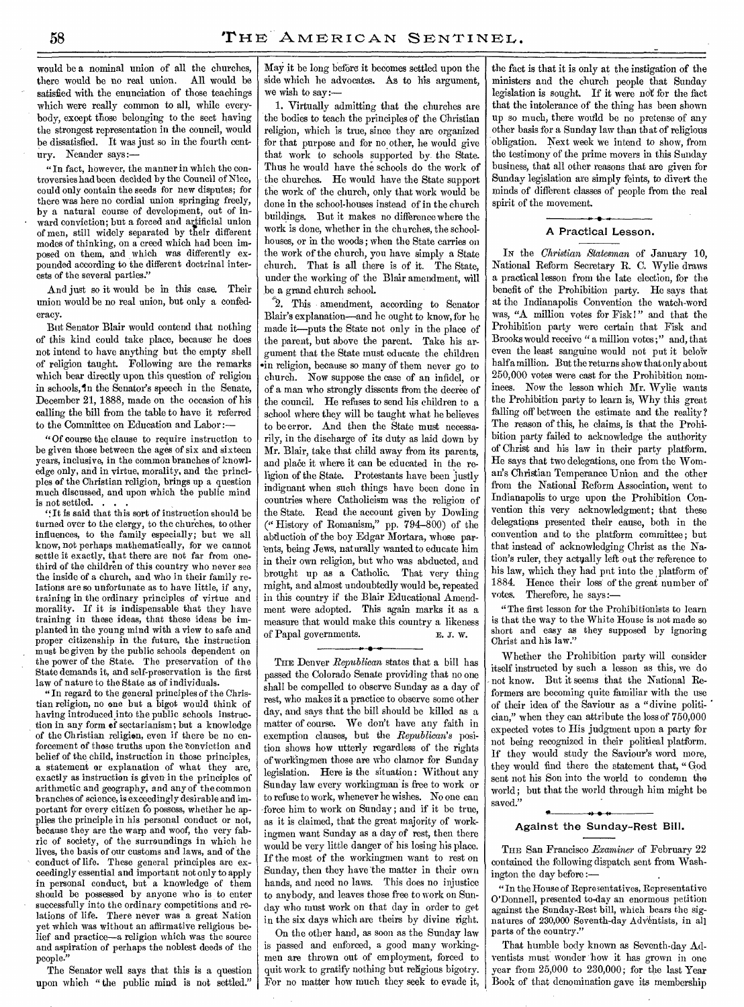would be a nominal union of all the churches, there would be no real union. All would be satisfied with the enunciation of those teachings which were really common to all, while everybody, except those belonging to the sect having the strongest representation in the council, would be dissatisfied. It was just so in the fourth century. Neander says:—

" In fact, however, the manner in which the controversies had been decided by the Council of Nice, could only contain the seeds for new disputes; for there was here no cordial union springing freely, by a natural course of development, out of inward conviction; but a forced and artificial union of men, still widely separated by their different modes of thinking, on a creed which had been imposed on them, and which was differently expounded according to the different doctrinal interests of the several parties."

And just so it would be in this case. Their union would be no real union, but only a confederacy.

But Senator Blair would contend that nothing of this kind could take place, because' he does not intend to have anything but the empty shell of religion taught. Following are the remarks which bear directly upon this question of religion in schools, in the Senator's speech in the Senate, December 21, 1888, made on the occasion of his calling the bill from the table to have it referred to the Committee on Education and Labor :-

"Of course the clause to require instruction to be given those between the ages of six and sixteen years, inclusive, in the common branches of knowledge only, and in virtue, morality, and the principles of the Christian religion, brings up a question much discussed, and upon which the public mind is not settled.

'f It is said that this sort of instruction should be turned over to the clergy, to the churches, to other influences, to the family especially; but we all know, not perhaps mathematically, for we cannot settle it exactly, that there are not far from onethird of the children of this country who never see the inside of a church, and who in their family relations are so unfortunate as to have little, if any, training in the ordinary principles of virtue and morality. If it is indispensable that they have training in these ideas, that these ideas be implanted in the young mind with a view to safe and proper citizenship in the future, the instruction must be given by the public schools dependent on the power of the State. The preservation of the State demands it, and self-preservation is the first law of nature to the State as of individuals.

"In regard to the general principles of the Christian religion, no one but a bigot would think of having introduced into the public schools instruction in any form of sectarianism; but a knowledge of the Christian religion, even if there be no enforcement of those truths upon the Conviction and belief of the child, instruction in those principles, a statement or explanation of what they are, exactly as instruction is given in the principles of arithmetic and geography, and any of the common branches of science, is exceedingly desirable and important for every citizen to possess, whether he applies the principle in his personal conduct or not, because they are the warp and woof, the very fabric of society, of the surroundings in which he lives, the basis of our customs and laws, and of the conduct of life. These general principles are exceedingly essential and important not only to apply in personal conduct, but a knowledge of them should be possessed by anyone who is to enter successfully into the ordinary competitions and relations of life. There never was a great Nation yet which was without an affirmative religious belief and practice—a religion which was the source and aspiration of perhaps the noblest deeds of the people."

The Senator well says that this is a question upon which "the public mind is not settled." May it be long before it becomes settled upon the side which he advocates. As to his argument, we wish to say:-

1. Virtually admitting that the churches are the bodies to teach the principles of the Christian religion, which is true, since they are organized for that purpose and for no other, he would give that work to schools supported by. the State. Thus he would have the schools do the work of the churches. He would have the State support the work of the church, only that work would be done in the school-houses instead of in the church buildings. But it makes no difference where the work is done, whether in the churches, the schoolhouses, or in the woods ; when the State carries on the work of the church, you have simply a State church. That is all there is of it. The State, under the working of the Blair amendment, will be a grand church school.

"2. This amendment, according to Senator Blair's explanation—and he ought to know, for he made it—puts the State not only in the place of the parent, but above the parent. Take his argument that the State must educate the children •in religion, because so many of them never go to church. Now suppose the case of an infidel, or of a man who strongly dissents from the decree of the council. He refuses to send his children to a school where they will be taught what he believes to be error. And then the State must necessarily, in the discharge of its duty as laid down by Mr. Blair, take that child away from its parents, and plake it where it can be educated in the religion of the State. Protestants have been justly indignant when such things have been done in countries where Catholicism was the religion of the State. Read the account given by Dowling (" History of Romanism," pp. 794-800) of the abduction of the boy Edgar Mortara, whose parents, being Jews, naturally wanted to educate him in their own religion, but who was abducted, and brought up as a Catholic. That very thing might, and almost undoubtedly would be, repeated in this country if the Blair Educational Amendment were adopted. This again marks it as a measure that would make this country a likeness of Papal governments. E. J. W. .<br>. . . . .

THE Denver *Republican* states that a bill has passed the Colorado Senate providing that no one shall be compelled to observe Sunday as a day of rest, who makes it a practice to observe some other day, and says that the bill should be killed as a matter of course. We don't have any faith in exemption clauses, but the *Republican's* position shows how utterly regardless of the rights of workingmen those are who clamor for Sunday legislation. Here is the situation: Without any Sunday law every workingman is free to work or to refuse to work, whenever he wishes. No one can force him to work on Sunday; and if it be true, as it is claimed, that the great majority of workingmen want Sunday as a day of rest, then there would be very little danger of his losing his place. If the most of the workingmen want to rest on Sunday, then they have thematter in their own hands, and need no laws. This does no injustice to anybody, and leaves those free to work on Sunday who must work on that day in order to get in the six days which are theirs by divine right.

On the other hand, as soon as the Sunday law is passed and enforced, a good many workingmen are thrown out of employment, forced to quit work to gratify nothing but religious bigotry. For no matter how much they seek to evade it, the fact is that it is only at the instigation of the ministers and the church people that Sunday legislation is sought. If it were not for the fact that the intolerance of the thing has been shown up so much, there would be no pretense of any other basis for a Sunday law than that of religious 'obligation. Next week We intend to show, from the testimony of the prime movers in this Sunday business, that all other reasons that are given for Sunday legislation are simply feints, to divert the minds of different classes of people from the real spirit of the movement.

#### A Practical Lesson.

IN the *Christian Statesman* of January 10, National Reform Secretary R. C. Wylie draws a practical lesson from the late election, for the benefit of the Prohibition party. He says that at the Indianapolis Convention the watch-word was, "A million votes for Fisk !" and that the Prohibition party were certain that Fisk and Brooks would receive " a million votes ;" and, that even the least sanguine would not put it below half a million. But the returns show that only about 250,000 votes were cast for the Prohibition nominees. Now the lesson which Mr. Wylie wants the Prohibition party to learn is, Why this great falling off between the estimate and the reality? The reason of this, he claims, is that the Prohibition party failed to acknowledge the authority of Christ and his law in their party platform. He says that two delegations, one from the Woman's Christian Temperance Union and the other from the National Reform Association, went to Indianapolis to urge upon the Prohibition Convention this very acknowledgment; that these delegations presented their cause, both in the convention and to the platform committee; but that instead of acknowledging Christ as the Nation's ruler, they actually left out the reference to his law, which they had put into the platform of 1884. Hence their loss of the great number of votes. Therefore, he says:—

" The first lesson for the Prohibitionists to learn is that the way to the White House is not made so short and easy as they supposed by ignoring Christ and his law."

Whether the Prohibition party will consider itself instructed by such a lesson as this, we do - not know. But it seems that the National Reformers are becoming quite familiar with the use of their idea of the Saviour as a "divine politi- • cian," when they can attribute the loss of 750,000 expected votes to His judgment upon a party for not being recognized in their political platform. If they would study the Saviour's word more, they would find there the statement that, "God sent not his Son into the world to condemn the world; but that the world through him might be saved." • • • •

### Against the Sunday-Rest Bill.

THE San Francisco *Examiner* of February 22 contained the following dispatch sent from Washington the day before :—

" In the House of Representatives, Representative O'Donnell, presented to-day an enormous petition against the Sunday-Rest bill, which bears the signatures of 230,000 Seventh-day Adventists, in all parts of the country."

That humble body known as Seventh-day Adventists must wonder 'how it has grown in one year from 25,000 to 230,000; for the last Year Book of that denomination gave its membership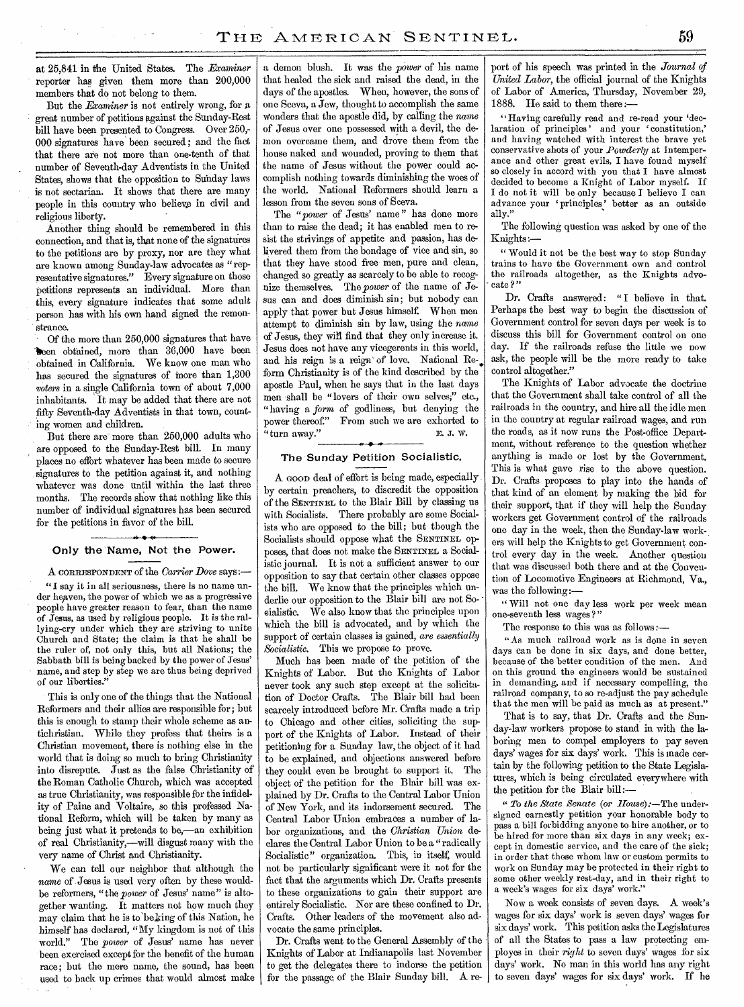at 25,841 in ilhe United States. The *Examiner*  reporter has given them more than 200,000 members that do not belong to them.

But the *Examiner* is not entirely wrong, for a great number of petitions against the Sunday-Rest bill have been presented to Congress. Over 250,- 000 signatures have been secured ; and the fact that there are not more than one-tenth of that number of Seventh-day Adventists in the United States, shows that the opposition to Sunday laws is not sectarian. It shows that there are many people in this country who believe in civil and religious liberty.

Another thing should be remembered in this connection, and that is, that none of the signatures to the petitions are by proxy, nor are they what are known among Sunday-law advocates as "representative signatures." Every signature on those petitions represents an individual. More than this, every signature indicates that some adult person has with his own hand signed the remonstrance.

Of the more than 250,000 signatures that have 'ken obtained, more than 36,000 have been obtained in California. We know one man who has secured the signatures of more than 1,300 *voters* in a single California town of about 7,000 inhabitants. It may be added that there are not fifty Seventh-day Adventists in that town, counting women and children.

But there are more than 250,000 adults who are opposed to the Sunday-Rest bill. In many places no effort whatever has been made to secure signatures to the petition against it, and nothing whatever was done until within the last three months. The records show that nothing like this number of individual signatures has been secured for the petitions in favor of the bill.

## Only the Name, Not the Power.

A CORRESPONDENT of the *Carrier Dove* says :—

"1 say it in all seriousness, there is no name under heaven, the power of which we as a progressive people have greater reason to fear, than the name of Jesus, as used by religious people. It is the rallying-cry under which they are striving to unite Church and State; the claim is that he shall be the ruler of, not only this, but all Nations; the Sabbath bill is being backed by the power of Jesus' name, and step by step we are thus being deprived of our liberties."

This is only one of the things that the National Reformers and their allies are responsible for; but this is enough to stamp their whole scheme as antichristian. While they profess that theirs is a Christian movement, there is nothing else in the world that is doing so much to bring Christianity into disrepute. Just as the false Christianity of the Roman Catholic Church, which was accepted as true Christianity, was responsible for the infidelity of Paine and Voltaire, so this professed National Reform, which will be taken by many as being just what it pretends to be,—an exhibition of real Christianity,—will disgust many with the very name of Christ and Christianity.

We can tell our neighbor that although the *name* of Jesus is used very often by these wouldbe reformers, "the *power* of Jesus' name" is altogether wanting. It matters not how much they may claim that he is to'be king of this Nation, he himself has declared, "My kingdom is not of this world." The *power* of Jesus' name has never been exercised except for the benefit of the human race; but the mere name, the sound, has been used to back up crimes that would almost make

a demon blush. It was the *power* of his name that healed the sick and raised the dead, in the days of the apostles. When, however, the sons of one Sceva, a Jew, thought to accomplish the same Wonders that the apostle did, by calling the *name*  of Jesus over one possessed with a devil, the demon overcame them, and drove them from the house naked and wounded, proving to them that the name of Jesus without the power could accomplish nothing towards diminishing the woes of the world. National Reformers should learn a lesson from the seven sons of Sceva.

The "power of Jesus' name" has done more than to raise the dead; it has enabled men to resist the strivings of appetite and passion, has delivered them from the bondage of vice and sin, so that they have stood free men, pure and clean, changed so greatly as scarcely to be able to recognize themselves. The *power* of the name of Jesus can and does diminish sin; but nobody can apply that power but Jesus himself. When men attempt to diminish sin by law, using the *name*  of Jesus, they will find that they only increase it. Jesus does not have any vicegerents in this world, and his reign is a reign of love. National Reform Christianity is of the kind described by the apostle Paul, when he says that in the last days men shall be "lovers of their own selves;" etc., "having a *form* of godliness, but denying the power thereof." From such we are exhorted to "turn away."  $E. J. W.$ 

#### The Sunday Petition Socialistic.

A GOOD deal of effort is being made, especially by certain preachers, to discredit the opposition of the SENTINEL to the Blair Bill by classing us with Socialists. There probably are some Socialists who are opposed to the bill; but though the Socialists should oppose what the SENTINEL opposes, that does not make the SENTINEL a Socialistic journal. It is not a sufficient answer to our opposition to say that certain other classes oppose the bill. We know that the principles which underlie our opposition to the Blair bill are not Socialistic. We also know that the principles upon which the bill is advocated, and by which the support of certain classes is gained, *are essentially Socialistic.* This we propose to prove.

Much has been made of the petition of the Knights of Labor. But the Knights of Labor never took any such step except at the solicitation of Doctor Crafts. The Blair bill had been scarcely introduced before Mr. Crafts made a trip to Chicago and other cities, soliciting the support of the Knights of Labor. Instead of their petitioning for a Sunday law, the object of it had to be explained, and objections answered before they could even be brought to support it. The object of the petition for the Blair bill was explained by Dr. Crafts to the Central Labor Union of New York, and its indorsement secured. Central Labor Union embraces a number of labor organizations, and the *Christian Union* declares the Central Labor Union to be. a " radically Socialistic" organization. This, in itself, would not be particularly significant were it not for the fact that the arguments which Dr. Crafts presents to these organizations to gain their support are entirely Socialistic. Nor are these confined to Dr. Crafts. Other leaders of the movement also advocate the same principles.

Dr. Crafts went to the General Assembly of the Knights of Labor at Indianapolis last November to get the delegates there to indorse the petition for the passage of the Blair Sunday bill. A report of his speech was printed in the *Journal of United Labor,* the official journal of the Knights of Labor of America, Thursday, November 29, 1888. He said to them there

" Having carefully read and re-read your 'declaration of principles' and your 'constitution,' and having watched with interest the brave yet conservative shots of your *Powderly* at intemperance and other great evils, I have found myself so closely in accord with you that I have almost decided to become a Knight of Labor myself. If I do not it will be only because I believe I can advance your 'principles' better as an outside ally."

The following question was asked by one of the Knights:—

" Would it not be the best way to stop Sunday trains to have the Government own and control the railroads altogether, as the Knights advocate ?"

Dr. Crafts answered: "I believe in that. Perhaps the best way to begin the discussion of Government control for seven days per week is to discuss this bill for Government control on one day. If the railroads refuse the little we now ask, the people will be the more ready to take control altogether."

The Knights of Labor advocate the doctrine that the Government shall take control of all the railroads in the country, and hire all the idle men in the country at regular railroad wages, and run the roads, as it now runs the Post-office Department, without reference to the question whether anything is made or lost by the Government. This is what gave rise to the above question. Dr. Crafts proposes to play into the hands of that kind of an element by making the bid for their support, that if they will help the Sunday workers get Government control of the railroads one day in the week, then the Sunday-law workers will help the Knights to get Government control every day in the week. Another question that was discussed both there and at the Convention of Locomotive Engineers at Richmond, Va., was the following:—

" Will not one day less work per week mean one-seventh less wages?"

The response to this was as follows :—

"As much railroad work as is done in seven days can be done in six days, and done better, because of the better condition of the men. And on this ground the engineers would be sustained in demanding, and if necessary compelling, the railroad company, to so re-adjust the pay schedule that the men will be paid as much as at present.'

That is to *say,* that Dr. Crafts and the Sunday-law workers propose to stand in with the laboring men to compel employers to pay seven days' wages for six days' work. This is made certain by the following petition to the State Legislatures, which is being circulated everywhere with the petition for the Blair bill:—

"*To the State Senate (or House):—The* undersigned earnestly petition your honorable body to pass a bill forbidding anyone to hire another, or to be hired for more than six days in any week; except in domestic service, and the care of the sick; in order that those whom law or custom permits to work on Sunday may be protected in their right to some other weekly rest-day, and in their right to a week's wages for six days' work."

Now a week consists of seven days. A week's wages for six days' work is seven days' wages for six days' work. This petition asks the Legislatures of all the States to pass a law protecting employes in their *right* to seven days' wages for six days' work. No man in this world has any right to seven days' wages for six days' work. If he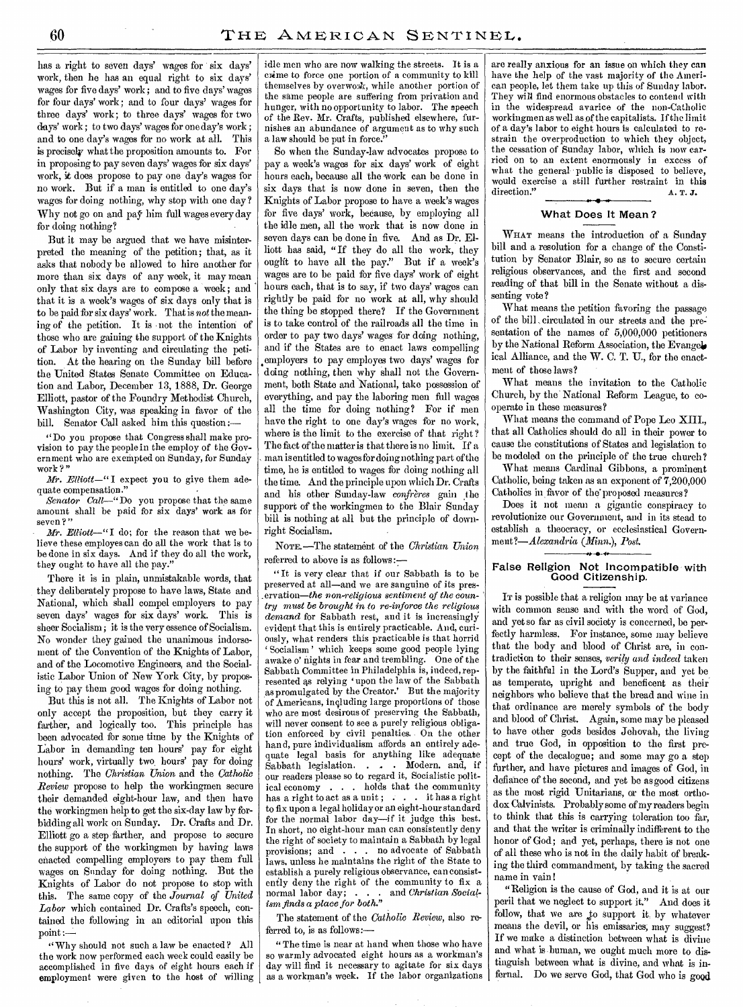has a right to seven days' wages for six days' work, then he has an equal right to six days' wages for five days' work; and to five days' wages for four days' work; and to four days' wages for three days' work; to three days' wages for two days' work ; to two days' wages for one day's work ; and to one day's wages for no work at all. This is precisely what the proposition amounts to. For in proposing to pay seven days' wages for six days' work, it does propose to pay one day's wages for no work. But if a man is entitled to one day's wages for doing nothing, why stop with one day? Why not go on and pay him full wages every day for doing nothing?

But it may be argued that we have misinterpreted the meaning of the petition; that, as it asks that nobody be allowed to hire another for more than six days of any week, it may mean only that six days are to compose a week; and that it is a week's wages of six days only that is to be paid for six days' work. That is *not* the meaning of the petition. It is not the intention of those who are gaining the support of the Knights of Labor by inventing and circulating the petition. At the hearing on the Sunday bill before the United States Senate Committee on Education and Labor, December 13, 1888, Dr. George Elliott, pastor of the Foundry Methodist Church, Washington City, was speaking in favor of the bill. Senator Call asked him this question :—

" Do you propose that Congress shall make provision to pay the people in the employ of the Government who are exempted on Sunday, for Sunday work?"

*Mr. Elliott—"* I expect you to give them adequate compensation."

*Senator Call—"Do* you propose that the same amount shall be paid for six days' work as for seven?"

*Mr. Elliott—"I* do; for the reason that we believe these employes can do all the work that is to be done in six days. And if they do all the work, they ought to have all the pay.'

There it is in plain, unmistakable words, that they deliberately propose to have laws, State and National, which shall compel employers to pay seven days' wages for six days' work. This is sheer Socialism; it is the very essence of Socialism. No wonder they gained the unanimous indorsement of the Convention of the Knights of Labor, and of the Locomotive Engineers, and the Socialistic Labor Union of New York City, by proposing to pay them good wages for doing nothing.

But this is not all. The Knights of Labor not only accept the proposition, but they carry it farther, and logically too. This principle has been advocated for some time by the Knights of Labor in demanding ten hours' pay for eight hours' work, virtually two, hours' pay for doing nothing. The *Christian Union* and the *Catholic Review* propose to help the workingmen secure their demanded eight-hour law, and then have the workingmen help to get the six-day law by forbidding all work on Sunday. Dr. Crafts and Dr. Elliott go a step farther, and propose to secure the support of the workingmen by having laws enacted compelling employers to pay them full wages on Sunday for doing nothing. But the Knights of Labor do not propose to stop with this. The same copy of the *Journal of United Labor* which contained Dr. Crafts's speech, contained the following in an editorial upon this point :—

" Why should not such a law be enacted? All the work now performed each week could easily be accomplished in five days of eight hours each if employment were given to the host of willing idle men who are now walking the streets. It is a crime to force one portion of a community to kill themselves by overwork, while another portion of the same people are suffering from privation and hunger, with no opportunity to labor. The speech of the Rev. Mr. Crafts, published elsewhere, furnishes an abundance of argument as to why such a law should be put in force."

So when the Sunday-law advocates propose to pay a week's wages for six days' work of eight hours each, because all the work can be done in six days that is now done in seven, then the Knights of Labor propose to have a week's wages for five days' work, because, by employing all the idle men, all the work that is now done in seven days can be done in five. And as Dr. Elliott has said, "If they do all the work, they ought to have all the pay." But if a week's wages are to be paid for five days' work of eight hours each, that is to say, if two days' wages can rightly be paid for no work at all, why should the thing be stopped there? If the Government is to take control of the railroads all the time in order to pay two days' wages for doing nothing, and if the States are to enact laws compelling employers to pay employes two days' wages for doing nothing, then why shall not the Government, both State and National, take possession of everything, and pay the laboring men full wages all the time for doing nothing? For if men have the right to one day's wages for no work, where is the limit to the exercise of that right? The fact of the matter is that there is no limit. If a man is entitled to wages for doing nothing part of the time, he is entitled to wages for doing nothing all the time. And the principle upon which Dr. Crafts and his other Sunday-law *confreres* gain the support of the workingmen to the Blair Sunday bill is nothing at all but the principle of downright Socialism.

NOTE.—The statement of the *Christian Union*  referred to above is as follows :—

"It is very clear that if our Sabbath is to be preserved at all—and we are sanguine of its pres ervation—the non-religious sentiment of the coun*try must be brought in to re-inforce the religious demand* for Sabbath rest, and it is increasingly evident that this is entirely practicable. And, curiously, what renders this practicable is that horrid ' Socialism ' which keeps some good people lying awake o' nights in fear and trembling. One of the Sabbath Committee in Philadelphia is, indeed, represented as relying 'upon the law of the Sabbath as promulgated by the Creator.' But the majority of Americans, including large proportions of those who are most desirous of preserving the Sabbath, will never consent to see a purely religious obligation enforced by civil penalties. On the other hand, pure individualism affords an entirely adequate legal basis for anything like adequate Sabbath legislation. . . Modern, and, if our readers please so to regard it, Socialistic political economy  $\dots$  holds that the community<br>has a right to act as a unit:  $\dots$  it has a right has a right to act as a unit ;  $\ldots$ . to fix upon a legal holiday or an eight-hour standard for the normal labor day—if it judge this best. In short, no eight-hour man can consistently deny the right of society to maintain a Sabbath by legal provisions; and . . . no advocate of Sabbath laws, unless he maintains the right of the State to establish a purely religious observance, can consistently deny the right of the community to fix a normal labor day; . . . and *Christian Socialism finds a place for both."* 

The statement of the *Catholic Review,* also referred to, is as follows:—

"The time is near at hand when those who have so warmly advocated eight hours as a workman's day will find it necessary to agitate for six days as a workman's week. If the labor organizations

are really anxious for an issue on which they can have the help of the vast majority of the American people, let them take up this of Sunday labor. They will find enormous obstacles to contend with in the widespread avarice of the non-Catholic workingmen as well as of the capitalists. If the limit of a day's labor to eight hours is calculated to restrain the overproduction to which they object, the cessation of Sunday labor, which is now carried on to an extent enormously in excess of what the general public is disposed to believe, would exercise a still further restraint in this direction." **A. T. J.** 

#### What Does It Mean ?

WHAT means the introduction of a Sunday bill and a resolution for a change of the Constitution by Senator Blair, so as to secure certain religious observances, and the first and second reading of that bill in the Senate without a dissenting vote ?

What means the petition favoring the passage of the bill circulated in our streets and the presentation of the names of 5,000,000 petitioners by the National Reform Association, the Evangel. ical Alliance, and the W. C. T. U., for the enactment of those laws?

What means the invitation to the Catholic Church, by the National Reform League, to cooperate in these measures?

What means the command of Pope Leo XIII., that all Catholics should do all in their power to cause the constitutions of States and legislation to be modeled on the principle of the true church?

What means Cardinal Gibbons, a prominent Catholic, being taken as an exponent of 7,200,000 Catholics in favor of the'proposed measures?

Does it not mean a gigantic conspiracy to revolutionize our Government, and in its stead to establish a theocracy, or ecclesiastical Govern*ment?—Alexandria (Minn.), Post.*  .*-.*..

#### False Religion Not Incompatible with Good Citizenship.

IT is possible that a religion may be at variance with common sense and with the word of God, and yet so far as civil society is concerned, be perfectly harmless. For instance, some may believe that the body and blood of Christ are, in contradiction to their senses, *verily and indeed* taken by the faithful in the Lord's Supper, and yet be as temperate, upright and beneficent as their neighbors who believe that the bread and wine in that ordinance are merely symbols of the body and blood of Christ. Again, some may be pleased to have other gods besides Jehovah, the living and true God, in opposition to the first precept of the decalogue; and some may go a step further, and have pictures and images of God, in defiance of the second, and yet be as good citizens as the most rigid Unitarians, or the most orthodox Calvinists. Probably some of my readers begin to think that this is carrying toleration too far, and that the writer is criminally indifferent to the honor of God; and yet, perhaps, there is not one of all these who is not in the daily habit of breaking the third commandment, by taking the sacred name in vain!

"Religion is the cause of God, and it is at our peril that we neglect to support it." And does it follow, that we are to support it by whatever means the devil, or his emissaries; may suggest? If we make a distinction between what is divine and what is.human, we ought much more to distinguish between what is divine, and what is infernal. Do we serve God, that God who is good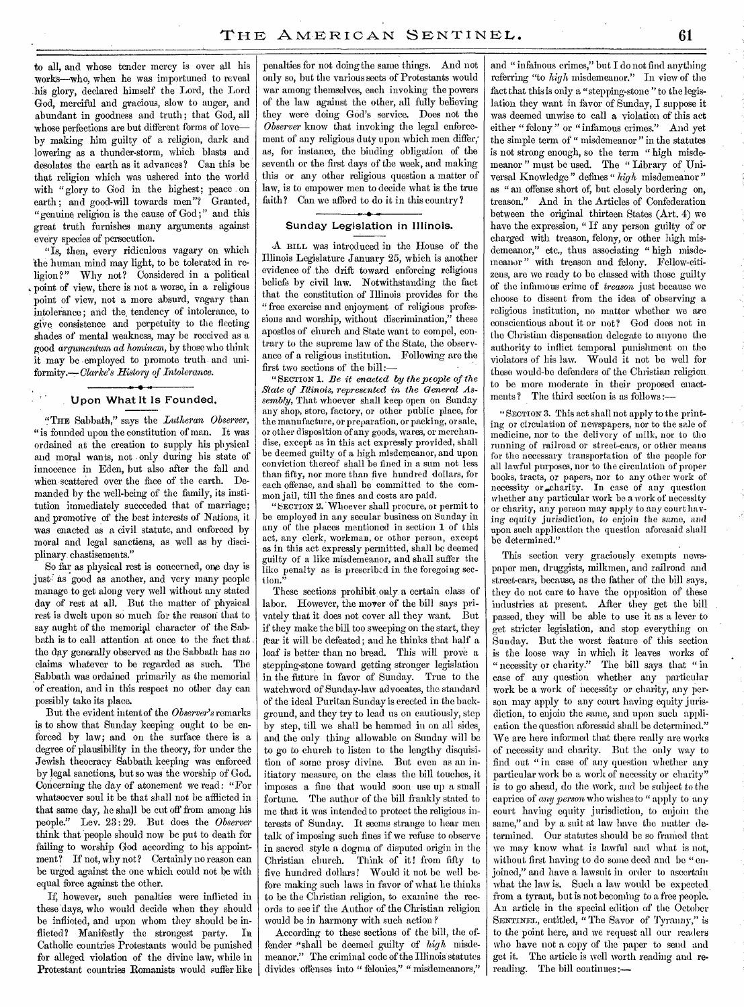to all, and whose tender mercy is over all his works—who, when he was importuned to reveal his glory, declared himself the Lord, the Lord God, merciful and gracious, slow to anger, and abundant in goodness and truth; that God, all Whose perfections are but different forms of love by making him guilty of a religion, dark and lowering as a thunder-storm, which blasts and desolates the earth as it advances? Can this be that religion which was ushered into the world with "glory to God in the highest; peace on earth ; and good-will towards men"? Granted, "genuine religion is the cause of God ;" and this great truth furnishes many arguments against every species of persecution.

"Is, then, every ridiculous vagary on which the human mind may light, to be tolerated in religion?" Why not? Considered in a political point of view, there is not a worse, in a religious point of view, not a more absurd, vagary than intolerance ; and the, tendency of intolerance, to give consistence and perpetuity to the fleeting shades of mental weakness, may be received as a good *cirgumentum ad hominem,* by those who think it may be employed to promote truth and uniformity.--- *Clarke's History of Intolerance*.

## Upon What It Is Founded.

"THE Sabbath," says the *Lutheran Observer, "is* founded upon the constitution of man. It was ordained at the creation to supply his physical and moral wants, not . only during his state of innocence in Eden, but also after the fall and when scattered over the face of the earth. Demanded by the well-being of the family, its institution immediately succeeded that of marriage; and promotive *of* the best interests of Nations, it was enacted as a civil statute, and enforced by moral and legal sanctions, as well as by disciplinary. chastisements."

So far as physical rest is concerned, one day is just as good as another, and very many people manage to get along very well without any stated day of rest at all. But the matter of physical rest is dwelt upon so much for the reason that to say aught of the memorial character of the Sabbath is to call attention at once to the fact that the day generally observed as the Sabbath has no claims whatever to be regarded as such. The Sabbath was ordained primarily as the memorial of creation, and in this respect no other day can possibly take its place.

But the evident intent of the *Observer's* remarks is to show that Sunday keeping ought to be enforced by law; and on the surface there is a degree of plausibility in the theory, for under the Jewish theocracy Sabbath keeping was enforced by legal sanctions, but so was the worship of God. Concerning the day of atonement we read: "For whatsoever soul it be that shall not be afflicted in that same day, he shall be cut off from among his people." Lev. 23: 29. But does the *Observer*  think that people should now be put to death for failing to worship God according to his appointment? If not, why not? Certainly no reason can be urged against the one which could not be with equal force against the other.

If, however, such penalties were inflicted in these days, who would decide when they should be inflicted, and upon whom they should be inflicted? Manifestly the strongest party. In Catholic countries Protestants would be punished for alleged violation of the divine law, while in Protestant countries Romanists would suffer like

penalties for not doing the same things. And not only so, but the various sects of Protestants would war among themselves, each invoking the powers of the law against the other, all fully believing they were doing GOd's service. Does not the *Observer* know that invoking the legal enforcement of any religious duty upon which men differ; as, for instance, the binding obligation of the seventh or the first days of the week, and making this or any other religious question a matter of law, is to empower men to decide what is the true faith? Can we afford to do it in this country?

## Sunday Legislation in Illinois.

-A BILL was introduced in the House of the Illinois Legislature January 25, which is another evidence of the drift toward enforcing religious beliefs by civil law. Notwithstanding the fact that the constitution of Illinois provides for the "free exercise and enjoyment of religious professions and worship, without discrimination," these apostles of church and State want to compel, contrary to the supreme law of the State, the observance of a religious institution. Following are the first two sections of the bill:—

" SECTION 1. *Be it enacted by the people of the State of Illinois, represented in the General Assembly,* That whoever shall keep open on Sunday any shop, store, factory, or other public place, for the manufacture, or preparation, or packing, or sale, or other disposition of any goods, wares, or merchandise, except as in this act expressly provided, shall be deemed guilty of a high misdemeanor, and upon conviction thereof shall be fined in a sum not less than fifty, nor more than five hundred dollars, for each offense, and shall be committed to the common jail, till the fines and costs are paid.

"SECTION 2. Whoever shall procure, or permit to be employed in any secular business on Sunday in any of the places mentioned in section 1 of this act, any clerk, workman, or other person, except as in this act expressly permitted, shall be deemed guilty of a like misdemeanor, and shall suffer the like penalty as is prescribed in the foregoing section."

These sections prohibit only a certain class of labor. However, the mover of the bill says privately that it does not cover all they want. But if they make the bill too sweeping on the start, they fear it will be defeated; and he thinks that half a loaf is better than no bread. This will prove a stepping-stone toward getting stronger legislation in the future in favor of Sunday. True to the watchword of Sunday-law advocates, the standard of the ideal Puritan Sunday is erected in the background, and they try to lead us on cautiously, step by step, till we shall be hemmed in on all sides, and the only thing allowable on Sunday will be to go to church to listen to the lengthy disquisition of some prosy divine. But even as an initiatory measure, on the class the bill touches, it imposes a fine that would soon use up a small fortune. The author of the bill frankly stated to me that it was intended to protect the religious interests of Sunday. It seems strange to hear men talk of imposing such fines if we refuse to observe in sacred style a dogma of disputed origin in the Christian church. Think of it! from fifty to five hundred dollars! Would it not be well before making such laws in favor of what he thinks to be the Christian religion, to examine the records to see if the Author of the Christian religion would be in harmony with such action ?

According to these sections of the bill, the offender "shall be deemed guilty of *high* misdemeanor." The criminal code of the Illinois statutes divides offenses into " felonies," " misdemeanors,"

and "infainous crimes," but I do not find anything referring "to *high* misdemeanor." In view of the fact that this is only a "stepping-stone "to the legislation they want in favor of Sunday, I suppose it was deemed unwise to call a violation of this act either "felony" or "infamous crimes." And yet the simple term of " misdemeanor " in the statutes is not strong enough, so the term " high misdemeanor " must be used. The " Library of Universal Knowledge " defines " *high* misdemeanor" as " an offense short of, but closely bordering on, treason." And in the Articles of Confederation between the original thirteen States (Art. 4) we have the expression, " If any person guilty of or charged with treason, felony, or other high misdemeanor," etc., thus associating " high misdemeanor" with treason and felony. Fellow-citizens, are we ready to be classed with those guilty of the infamous crime of *treason* just because we choose to dissent from the idea of observing a religious institution, no matter whether we are conscientious about it or not? God does not in the Christian dispensation delegate to anyone the authority to inflict temporal punishment on the violators of his law. Would it not be well for these would-be defenders of the Christian religion to be more moderate in their proposed enactments ? The third section is as follows :—

" SECTION 3. This act shall not apply to the printing or circulation of newspapers, nor to the sale of medicine, nor to the delivery of milk, nor to the running of railroad or street-cars, or other means for the necessary transportation of the people for all lawful purposes, nor to the circulation of proper books, tracts, or papers, nor to any other work of necessity or charity. In case of any question whether any particular work be a work of necessity or charity, any person may apply to any court having equity jurisdiction, to enjoin the same, and upon such application the question aforesaid shall be determined."

This section very graciously exempts newspaper men, druggists, milkmen, and railroad and street-cars, because, as the father of the bill says, they do not care to have the opposition of these industries at present. After they get the bill passed, they will be able to use it as a lever to get stricter legislation, and stop everything on Sunday. But the worst feature of this section is the loose way in which it leaves works of " necessity or charity." The bill says that " in case of any question whether any particular work be a work of necessity or charity, any person may apply to any court having equity jurisdiction, to enjoin the same, and upon such application the question aforesaid shall be determined." We are here informed that there really are works of necessity and charity. But the only way to find out "in case of any question whether any particular work be a work of necessity or charity" is to go ahead, do the work, and be subject to the caprice of *any person* who wishes to " apply to any court having equity jurisdiction, to enjoin the same," and by a suit at law have the matter determined. Our statutes should be so framed that we may know what is lawful and what is not, without first having to do some deed and be "enjoined," and have a lawsuit in order to ascertain what the law is. Such a law would be expected from a tyrant, but is not becoming to a free people. An article in the special edition of the October SENTINEL, entitled, "The Savor of Tyranny," is to the point here, and we request all our readers who have not a copy of the paper to send and get it. The article is well worth reading and rereading. The bill continues:—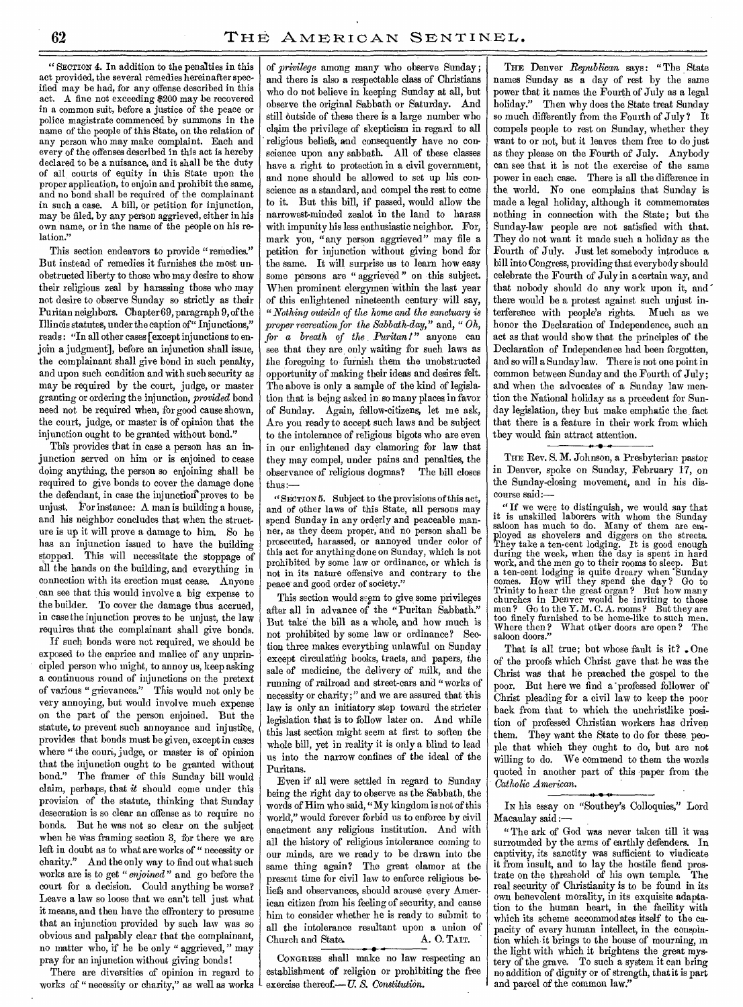" SECTION 4. In addition to the penalties in this act provided, the several remedies hereinafter specified may be had, for any offense described in this act. A fine not exceeding \$200 may be recovered in a common suit, before a justice of the peace or police magistrate commenced by summons in the name of the people of this state, on the relation of any person who may make complaint. Each and every of the offenses described in this act is hereby declared to be a nuisance, and it shall be the duty of all courts of equity in this State upon the proper application, to enjoin and prohibit the same, and no bond shall be required of the complainant in such a case. A bill, or petition for injunction, may be filed, by any person aggrieved, either in his own name, or in the name of the people on his relation."

This section endeavors to provide "remedies." But instead of remedies it furnishes the most unobstructed liberty to those who may desire to show their religious zeal by harassing those who may not desire to observe Sunday so strictly as their Puritan neighbors. Chapter 69, paragraph 9, of the Illinois statutes, under the caption of" Injunctions," reads : "In all other cases [except injunctions to enjoin a judgment], before an injunction shall issue, the complainant shall give bond in such penalty, and upon such condition and with such security as may be required by the court, judge, or master granting or ordering the injunction, *provided* bond need not be required when, for good cause shown, the court, judge, or master is of opinion that the injunction ought to be granted without bond."

This provides that in case a person has an injunction served on him or is enjoined to cease doing anything, the person so enjoining shall be required to give bonds to cover the damage done the defendant, in case the injunction'proves to be unjust. For instance: A man is building a house, and his neighbor concludes that when the structure is up it will prove a damage to him. So he has an injunction issued to have the building stopped. This will necessitate the stoppage of all the hands on the building, and everything in connection with its erection must cease. Anyone can see that this would involve a big expense to the builder. To cover the damage thus accrued, in case the injunction proves to be unjust, the law requires that the complainant shall give bonds.

If such bonds were not required, we should be exposed to the caprice and malice of any unprincipled person who might, to annoy us, keep asking a continuous round of injunctions on the pretext of various " grievances." This would not only be very annoying, but would involve much expense on the part of the person enjoined. But the statute, to prevent such annoyance and injustice, provides that bonds must be given, except in cases where " the couri, judge, or master is of opinion that the injunction ought to be granted without bond." The framer of this Sunday bill would claim, perhaps, that *it* should come under this provision of the statute, thinking that Sunday desecration is so clear an offense as to require no bonds. But he was not so clear on the subject when he Was framing section 3, for there we are left in doubt as to what are works of " necessity or charity." And the only way to find out what such works are is to get *"enjoined"* and go before the court for a decision. Could anything be worse? Leave a law so loose that we can't tell just what it means, and then have the effrontery to presume that an injunction provided by such law was so obvious and palpably clear that the complainant, no matter who, if he be only " aggrieved, " may pray for an injunction without giving bonds !

There are diversities of opinion in regard to works of " necessity or charity," as well as works

of *privilege* among many who observe Sunday; and there is also a respectable class of Christians who do not believe in keeping Sunday at all, but observe the original Sabbath or Saturday. And still outside of these there is a large number who claim the privilege of skepticism in regard to all religious beliefs, and consequently have no conscience upon any sabbath. All of these classes have a right to protection in a civil government, and none should be allowed to set up his conscience as a standard, and compel the rest to come to it. But this bill, if passed, would allow the narrowest-minded zealot in the land to harass with impunity his less enthusiastic neighbor. For, mark you, "any person aggrieved" may file a petition for injunction without giving bond for the same. It will surprise us to learn how easy some persons are "aggrieved" on this subject. When prominent clergymen within the last year of this enlightened nineteenth century will say, *"Nothing outside of the home and the sanctuary is proper recreation for the Sabbath-day,"* and, " *Oh, for* a *breath of the Puritan!"* anyone can see that they are only waiting for such laws as the foregoing to furnish them the unobstructed opportunity of making their ideas and desires felt. The above is only a sample of the kind of legislation that is being asked in so many places in favor of Sunday. Again, fellow-citizens, let me ask, Are you ready to accept such laws and be subject to the intolerance of religious bigots who are even in our enlightened day clamoring for law that they may compel, under pains and penalties, the observance of religious dogmas? The bill closes thus:—

" SECTION 5. Subject to the provisions of this act, and of other laws of this State, all persons may spend Sunday in any orderly and peaceable manner, as they deem proper, and no person shall be prosecuted, harassed, or annoyed under color of this act for anything done on Sunday, which is not prohibited by some law or ordinance, or which is not in its nature offensive and contrary to the peace and good order of society.'

This section would seem to give some privileges after all in advance of the "Puritan Sabbath." But take the bill as a whole, and how much is not prohibited by some law or ordinance? Section three makes everything unlawful on Sunday except circulating books, tracts, and papers, the sale of medicine, the delivery of milk, and the running of railroad and street-cars and "works of necessity or charity;" and we are assured that this law is only an initiatory step toward the stricter legislation that is to follow later on. And while this last section might seem at first to soften the whole bill, yet in reality it is only a blind to lead us into the narrow confines of the ideal of the Puritans.

Even if all were settled in regard to Sunday being the right day to observe as the Sabbath, the -words of' Him who said, "My kingdom is not of this world," would forever forbid us to enforce by civil enactment any religious institution. And with all the history of religious intolerance coming to our minds, are we ready to be drawn into the same thing again? The great clamor at the present time for civil law to enforce religious beliefs and observances, should arouse every American citizen from his feeling of security, and cause him to consider whether he is ready to submit to all the intolerance resultant upon a union of Church and State. A. O. TAIT. Church and State. «

CONGRESS shall make no law respecting an establishment of religion or prohibiting the free exercise thereof— U. *S. Constitution.* 

THE Denver *Republican* says: "The State names Sunday as a day of rest by the same power that it names the Fourth of July as a legal holiday." Then why does the State treat Sunday so much differently from the Fourth of July ? It compels people to rest on Sunday, whether they want to or not, but it leaves them free to do just as they please on the Fourth of July. Anybody can see that it is not the exercise of the same power in each case. There is all the difference in the world. No one complains that Sunday is made a legal holiday, although it commemorates nothing in connection with the State; but the Sunday-law people are not satisfied with that. They do not want it made such a holiday as the Fourth of July. Just let somebody introduce a bill into Congress, providing that everybody should celebrate the Fourth of July in a certain way, and that nobody should do any work upon it, and there would be a protest against such unjust interference with people's rights. Much as we honor the Declaration of Independence, such an act as that would show that the principles of the Declaration of Independence had been forgotten, and so will a Sunday law. There is not one point in common between Sunday and the Fourth of July; and when the advocates of a Sunday law mention the. National holiday as a precedent for Sunday legislation, they but make emphatic the fact that there is a feature in their work from which they would fain attract attention.

THE Rev. S. M. Johnson, a Presbyterian pastor in Denver, spoke on Sunday, February 17, on the Sunday-closing movement, and in his discourse said:—

" If we were to distinguish, we would say that it is unskilled laborers with whom the Sunday saloon has much to do. Many of them are employed as shovelers and diggers on the streets. They take a ten-cent lodging. It is good enough during the week, when the day is spent in hard work, and the men go to their rooms to sleep. But a ten-cent lodging is quite dreary when 'Sunday comes. How will they spend the day? Go to Trinity to hear the great organ ? But how many churches in Denver would be inviting to those men ? Go to the Y. M. C. A. rooms? But they are too finely furnished to be home-like to such men. Where then? What other doors are open? The saloon doors.

That is all true; but whose fault is it? . One of the proofs which Christ gave that he was the Christ was that he preached the gospel to the poor. But here we find a 'professed follower of Christ pleading for a civil law to keep the poor back from that to which the unchristlike position of professed Christian workers has driven them. They want the State to do for these people that which they ought to do, but are not willing to do. We commend to them the words quoted in another part of this paper from the Catholic American. *Catholic American.* 

IN his essay on "Southey's Colloquies," Lord Macaulay said

" The ark of God was never taken till it was surrounded by the arms of earthly defenders. In captivity, its sanctity was sufficient to vindicate it from insult, and to lay the hostile fiend prostrate on the threshold of his own temple. The real security of Christianity is to be found in its own benevolent morality, in its exquisite adaptation to the human heart, in the facility with which its scheme accommodates itself to the capacity of every human intellect, in the consolation which it brings to the house of mourning, in the light with which it brightens the great mystery of the grave. To such a system it can bring no addition of dignity or of strength, that it is part and parcel of the common law."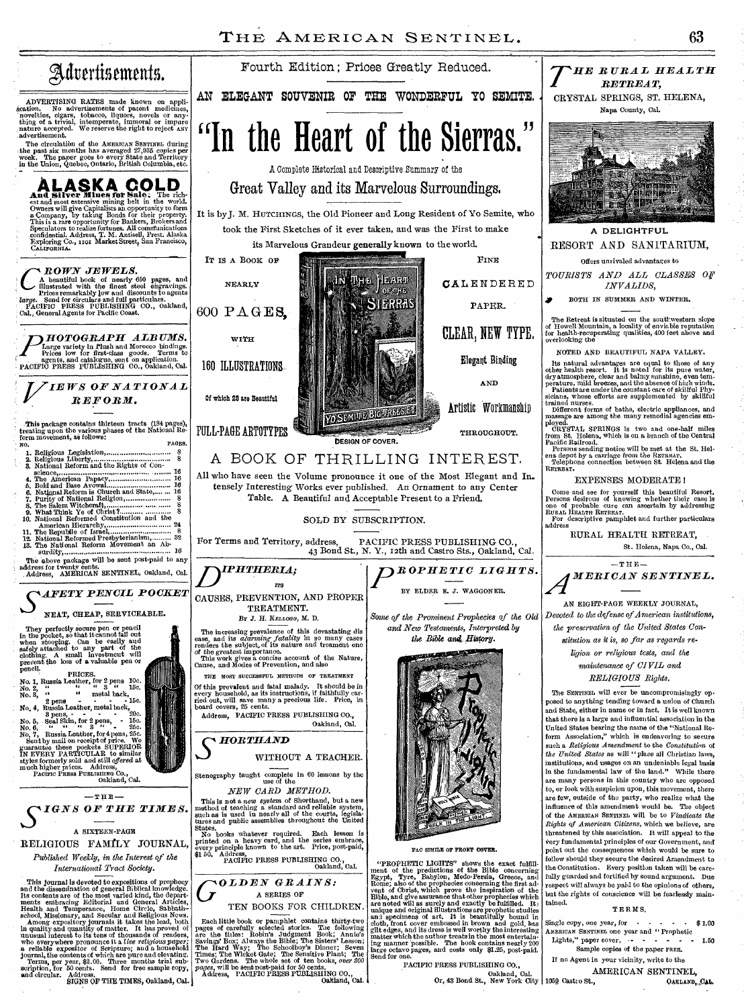